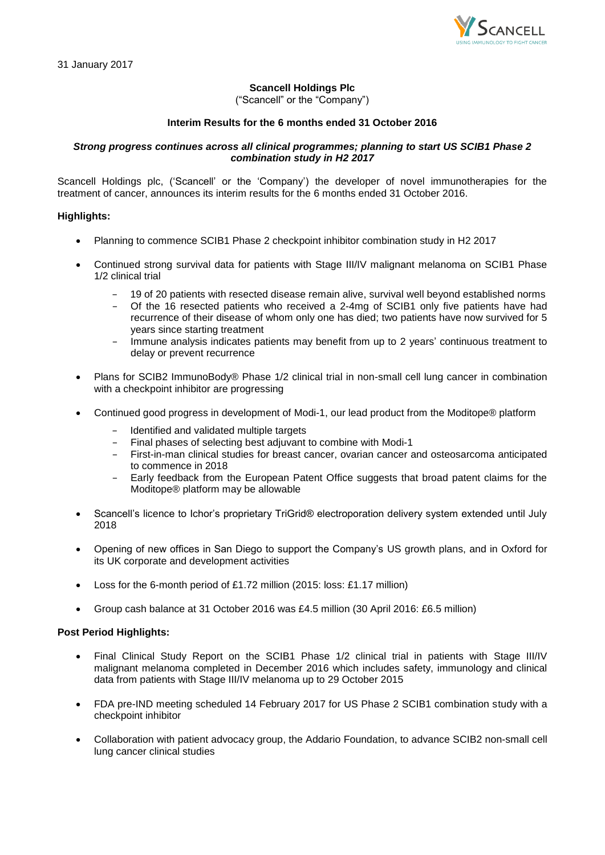

# **Scancell Holdings Plc**

("Scancell" or the "Company")

# **Interim Results for the 6 months ended 31 October 2016**

## *Strong progress continues across all clinical programmes; planning to start US SCIB1 Phase 2 combination study in H2 2017*

Scancell Holdings plc, ('Scancell' or the 'Company') the developer of novel immunotherapies for the treatment of cancer, announces its interim results for the 6 months ended 31 October 2016.

# **Highlights:**

- Planning to commence SCIB1 Phase 2 checkpoint inhibitor combination study in H2 2017
- Continued strong survival data for patients with Stage III/IV malignant melanoma on SCIB1 Phase 1/2 clinical trial
	- − 19 of 20 patients with resected disease remain alive, survival well beyond established norms
	- − Of the 16 resected patients who received a 2-4mg of SCIB1 only five patients have had recurrence of their disease of whom only one has died; two patients have now survived for 5 years since starting treatment
	- − Immune analysis indicates patients may benefit from up to 2 years' continuous treatment to delay or prevent recurrence
- Plans for SCIB2 ImmunoBody® Phase 1/2 clinical trial in non-small cell lung cancer in combination with a checkpoint inhibitor are progressing
- Continued good progress in development of Modi-1, our lead product from the Moditope® platform
	- − Identified and validated multiple targets
	- − Final phases of selecting best adjuvant to combine with Modi-1
	- − First-in-man clinical studies for breast cancer, ovarian cancer and osteosarcoma anticipated to commence in 2018
	- − Early feedback from the European Patent Office suggests that broad patent claims for the Moditope® platform may be allowable
- Scancell's licence to Ichor's proprietary TriGrid® electroporation delivery system extended until July 2018
- Opening of new offices in San Diego to support the Company's US growth plans, and in Oxford for its UK corporate and development activities
- Loss for the 6-month period of £1.72 million (2015: loss: £1.17 million)
- Group cash balance at 31 October 2016 was £4.5 million (30 April 2016: £6.5 million)

## **Post Period Highlights:**

- Final Clinical Study Report on the SCIB1 Phase 1/2 clinical trial in patients with Stage III/IV malignant melanoma completed in December 2016 which includes safety, immunology and clinical data from patients with Stage III/IV melanoma up to 29 October 2015
- FDA pre-IND meeting scheduled 14 February 2017 for US Phase 2 SCIB1 combination study with a checkpoint inhibitor
- Collaboration with patient advocacy group, the Addario Foundation, to advance SCIB2 non-small cell lung cancer clinical studies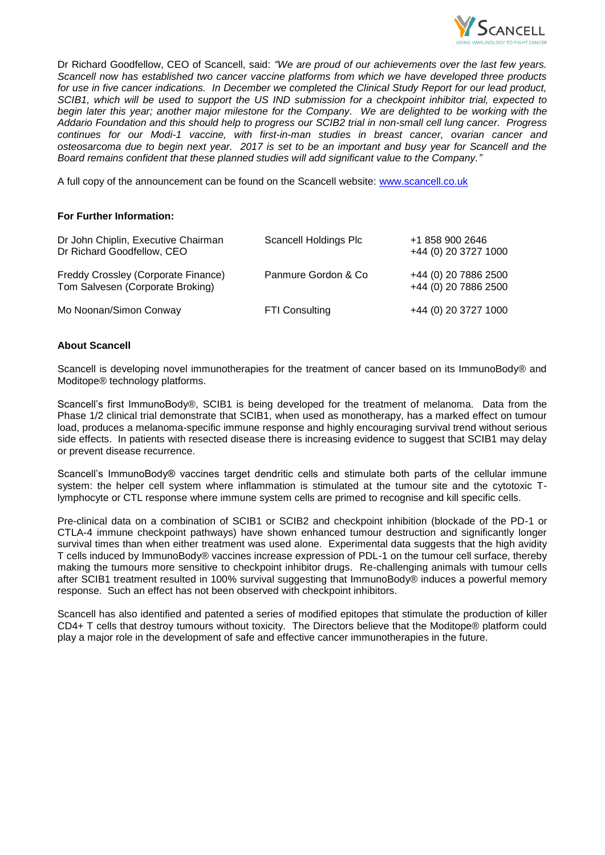

Dr Richard Goodfellow, CEO of Scancell, said: *"We are proud of our achievements over the last few years. Scancell now has established two cancer vaccine platforms from which we have developed three products for use in five cancer indications. In December we completed the Clinical Study Report for our lead product, SCIB1, which will be used to support the US IND submission for a checkpoint inhibitor trial, expected to begin later this year; another major milestone for the Company. We are delighted to be working with the Addario Foundation and this should help to progress our SCIB2 trial in non-small cell lung cancer. Progress continues for our Modi-1 vaccine, with first-in-man studies in breast cancer, ovarian cancer and osteosarcoma due to begin next year. 2017 is set to be an important and busy year for Scancell and the Board remains confident that these planned studies will add significant value to the Company."*

A full copy of the announcement can be found on the Scancell website: [www.scancell.co.uk](http://www.scancell.co.uk/)

# **For Further Information:**

| Dr John Chiplin, Executive Chairman<br>Dr Richard Goodfellow, CEO       | Scancell Holdings Plc | +1 858 900 2646<br>+44 (0) 20 3727 1000      |
|-------------------------------------------------------------------------|-----------------------|----------------------------------------------|
| Freddy Crossley (Corporate Finance)<br>Tom Salvesen (Corporate Broking) | Panmure Gordon & Co   | +44 (0) 20 7886 2500<br>+44 (0) 20 7886 2500 |
| Mo Noonan/Simon Conway                                                  | <b>FTI Consulting</b> | +44 (0) 20 3727 1000                         |

# **About Scancell**

Scancell is developing novel immunotherapies for the treatment of cancer based on its ImmunoBody® and Moditope® technology platforms.

Scancell's first ImmunoBody®, SCIB1 is being developed for the treatment of melanoma. Data from the Phase 1/2 clinical trial demonstrate that SCIB1, when used as monotherapy, has a marked effect on tumour load, produces a melanoma-specific immune response and highly encouraging survival trend without serious side effects. In patients with resected disease there is increasing evidence to suggest that SCIB1 may delay or prevent disease recurrence.

Scancell's ImmunoBody® vaccines target dendritic cells and stimulate both parts of the cellular immune system: the helper cell system where inflammation is stimulated at the tumour site and the cytotoxic Tlymphocyte or CTL response where immune system cells are primed to recognise and kill specific cells.

Pre-clinical data on a combination of SCIB1 or SCIB2 and checkpoint inhibition (blockade of the PD-1 or CTLA-4 immune checkpoint pathways) have shown enhanced tumour destruction and significantly longer survival times than when either treatment was used alone. Experimental data suggests that the high avidity T cells induced by ImmunoBody® vaccines increase expression of PDL-1 on the tumour cell surface, thereby making the tumours more sensitive to checkpoint inhibitor drugs. Re-challenging animals with tumour cells after SCIB1 treatment resulted in 100% survival suggesting that ImmunoBody® induces a powerful memory response. Such an effect has not been observed with checkpoint inhibitors.

Scancell has also identified and patented a series of modified epitopes that stimulate the production of killer CD4+ T cells that destroy tumours without toxicity. The Directors believe that the Moditope® platform could play a major role in the development of safe and effective cancer immunotherapies in the future.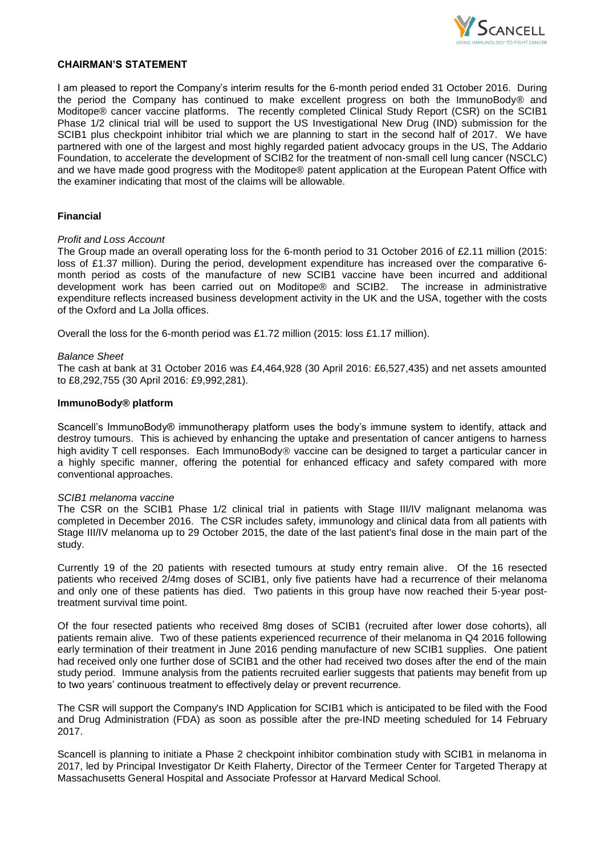

### **CHAIRMAN'S STATEMENT**

I am pleased to report the Company's interim results for the 6-month period ended 31 October 2016. During the period the Company has continued to make excellent progress on both the ImmunoBody® and Moditope® cancer vaccine platforms. The recently completed Clinical Study Report (CSR) on the SCIB1 Phase 1/2 clinical trial will be used to support the US Investigational New Drug (IND) submission for the SCIB1 plus checkpoint inhibitor trial which we are planning to start in the second half of 2017. We have partnered with one of the largest and most highly regarded patient advocacy groups in the US, The Addario Foundation, to accelerate the development of SCIB2 for the treatment of non-small cell lung cancer (NSCLC) and we have made good progress with the Moditope® patent application at the European Patent Office with the examiner indicating that most of the claims will be allowable.

## **Financial**

# *Profit and Loss Account*

The Group made an overall operating loss for the 6-month period to 31 October 2016 of £2.11 million (2015: loss of £1.37 million). During the period, development expenditure has increased over the comparative 6 month period as costs of the manufacture of new SCIB1 vaccine have been incurred and additional development work has been carried out on Moditope® and SCIB2. The increase in administrative expenditure reflects increased business development activity in the UK and the USA, together with the costs of the Oxford and La Jolla offices.

Overall the loss for the 6-month period was £1.72 million (2015: loss £1.17 million).

#### *Balance Sheet*

The cash at bank at 31 October 2016 was £4,464,928 (30 April 2016: £6,527,435) and net assets amounted to £8,292,755 (30 April 2016: £9,992,281).

#### **ImmunoBody® platform**

Scancell's ImmunoBody® immunotherapy platform uses the body's immune system to identify, attack and destroy tumours. This is achieved by enhancing the uptake and presentation of cancer antigens to harness high avidity T cell responses. Each ImmunoBody<sup>®</sup> vaccine can be designed to target a particular cancer in a highly specific manner, offering the potential for enhanced efficacy and safety compared with more conventional approaches.

## *SCIB1 melanoma vaccine*

The CSR on the SCIB1 Phase 1/2 clinical trial in patients with Stage III/IV malignant melanoma was completed in December 2016. The CSR includes safety, immunology and clinical data from all patients with Stage III/IV melanoma up to 29 October 2015, the date of the last patient's final dose in the main part of the study.

Currently 19 of the 20 patients with resected tumours at study entry remain alive. Of the 16 resected patients who received 2/4mg doses of SCIB1, only five patients have had a recurrence of their melanoma and only one of these patients has died. Two patients in this group have now reached their 5-year posttreatment survival time point.

Of the four resected patients who received 8mg doses of SCIB1 (recruited after lower dose cohorts), all patients remain alive. Two of these patients experienced recurrence of their melanoma in Q4 2016 following early termination of their treatment in June 2016 pending manufacture of new SCIB1 supplies. One patient had received only one further dose of SCIB1 and the other had received two doses after the end of the main study period. Immune analysis from the patients recruited earlier suggests that patients may benefit from up to two years' continuous treatment to effectively delay or prevent recurrence.

The CSR will support the Company's IND Application for SCIB1 which is anticipated to be filed with the Food and Drug Administration (FDA) as soon as possible after the pre-IND meeting scheduled for 14 February 2017.

Scancell is planning to initiate a Phase 2 checkpoint inhibitor combination study with SCIB1 in melanoma in 2017, led by Principal Investigator Dr Keith Flaherty, Director of the Termeer Center for Targeted Therapy at Massachusetts General Hospital and Associate Professor at Harvard Medical School.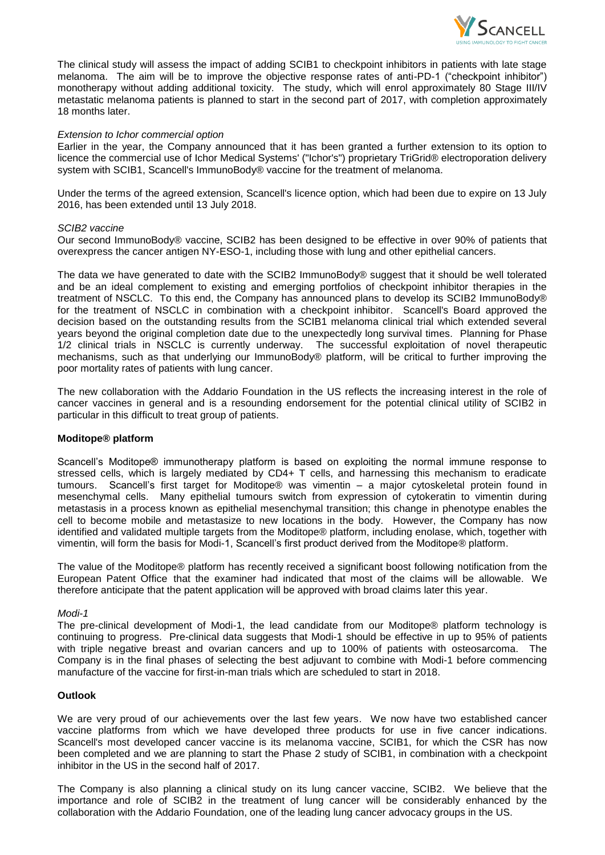

The clinical study will assess the impact of adding SCIB1 to checkpoint inhibitors in patients with late stage melanoma. The aim will be to improve the objective response rates of anti-PD-1 ("checkpoint inhibitor") monotherapy without adding additional toxicity. The study, which will enrol approximately 80 Stage III/IV metastatic melanoma patients is planned to start in the second part of 2017, with completion approximately 18 months later.

### *Extension to Ichor commercial option*

Earlier in the year, the Company announced that it has been granted a further extension to its option to licence the commercial use of Ichor Medical Systems' ("Ichor's") proprietary TriGrid® electroporation delivery system with SCIB1, Scancell's ImmunoBody® vaccine for the treatment of melanoma.

Under the terms of the agreed extension, Scancell's licence option, which had been due to expire on 13 July 2016, has been extended until 13 July 2018.

#### *SCIB2 vaccine*

Our second ImmunoBody® vaccine, SCIB2 has been designed to be effective in over 90% of patients that overexpress the cancer antigen NY-ESO-1, including those with lung and other epithelial cancers.

The data we have generated to date with the SCIB2 ImmunoBody® suggest that it should be well tolerated and be an ideal complement to existing and emerging portfolios of checkpoint inhibitor therapies in the treatment of NSCLC. To this end, the Company has announced plans to develop its SCIB2 ImmunoBody® for the treatment of NSCLC in combination with a checkpoint inhibitor. Scancell's Board approved the decision based on the outstanding results from the SCIB1 melanoma clinical trial which extended several years beyond the original completion date due to the unexpectedly long survival times. Planning for Phase 1/2 clinical trials in NSCLC is currently underway. The successful exploitation of novel therapeutic mechanisms, such as that underlying our ImmunoBody® platform, will be critical to further improving the poor mortality rates of patients with lung cancer.

The new collaboration with the Addario Foundation in the US reflects the increasing interest in the role of cancer vaccines in general and is a resounding endorsement for the potential clinical utility of SCIB2 in particular in this difficult to treat group of patients.

## **Moditope® platform**

Scancell's Moditope® immunotherapy platform is based on exploiting the normal immune response to stressed cells, which is largely mediated by CD4+ T cells, and harnessing this mechanism to eradicate tumours. Scancell's first target for Moditope® was vimentin – a major cytoskeletal protein found in mesenchymal cells. Many epithelial tumours switch from expression of cytokeratin to vimentin during metastasis in a process known as epithelial mesenchymal transition; this change in phenotype enables the cell to become mobile and metastasize to new locations in the body. However, the Company has now identified and validated multiple targets from the Moditope® platform, including enolase, which, together with vimentin, will form the basis for Modi-1, Scancell's first product derived from the Moditope® platform.

The value of the Moditope® platform has recently received a significant boost following notification from the European Patent Office that the examiner had indicated that most of the claims will be allowable. We therefore anticipate that the patent application will be approved with broad claims later this year.

## *Modi-1*

The pre-clinical development of Modi-1, the lead candidate from our Moditope® platform technology is continuing to progress. Pre-clinical data suggests that Modi-1 should be effective in up to 95% of patients with triple negative breast and ovarian cancers and up to 100% of patients with osteosarcoma. The Company is in the final phases of selecting the best adjuvant to combine with Modi-1 before commencing manufacture of the vaccine for first-in-man trials which are scheduled to start in 2018.

## **Outlook**

We are very proud of our achievements over the last few years. We now have two established cancer vaccine platforms from which we have developed three products for use in five cancer indications. Scancell's most developed cancer vaccine is its melanoma vaccine, SCIB1, for which the CSR has now been completed and we are planning to start the Phase 2 study of SCIB1, in combination with a checkpoint inhibitor in the US in the second half of 2017.

The Company is also planning a clinical study on its lung cancer vaccine, SCIB2. We believe that the importance and role of SCIB2 in the treatment of lung cancer will be considerably enhanced by the collaboration with the Addario Foundation, one of the leading lung cancer advocacy groups in the US.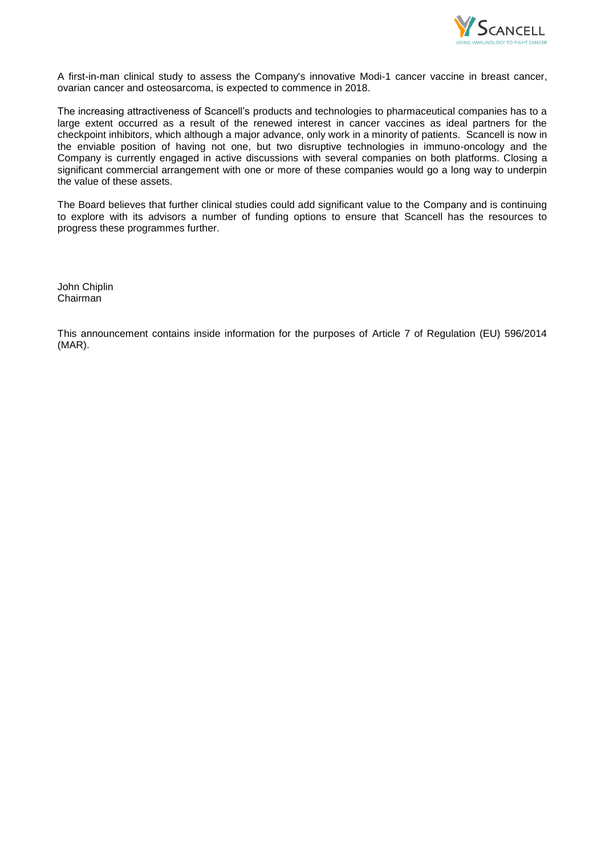

A first-in-man clinical study to assess the Company's innovative Modi-1 cancer vaccine in breast cancer, ovarian cancer and osteosarcoma, is expected to commence in 2018.

The increasing attractiveness of Scancell's products and technologies to pharmaceutical companies has to a large extent occurred as a result of the renewed interest in cancer vaccines as ideal partners for the checkpoint inhibitors, which although a major advance, only work in a minority of patients. Scancell is now in the enviable position of having not one, but two disruptive technologies in immuno-oncology and the Company is currently engaged in active discussions with several companies on both platforms. Closing a significant commercial arrangement with one or more of these companies would go a long way to underpin the value of these assets.

The Board believes that further clinical studies could add significant value to the Company and is continuing to explore with its advisors a number of funding options to ensure that Scancell has the resources to progress these programmes further.

John Chiplin Chairman

This announcement contains inside information for the purposes of Article 7 of Regulation (EU) 596/2014 (MAR).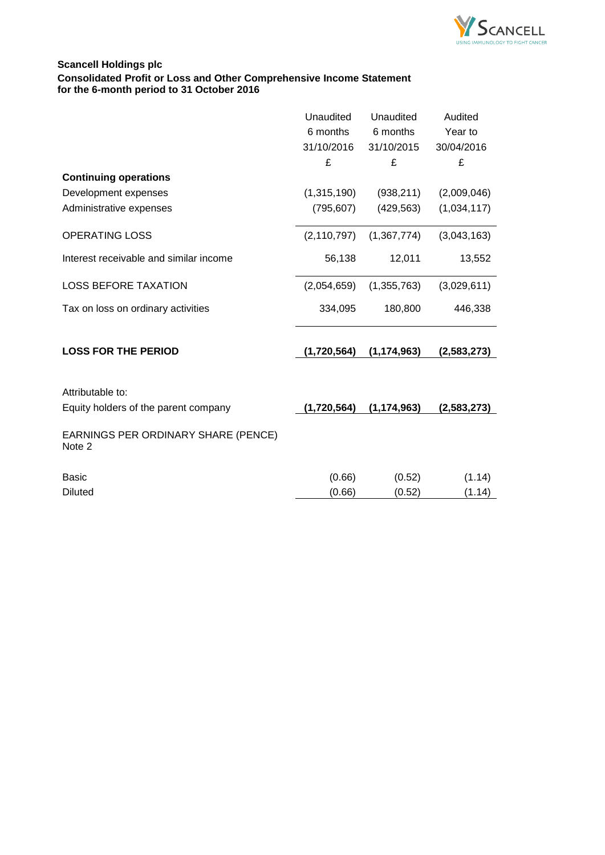

# **Scancell Holdings plc Consolidated Profit or Loss and Other Comprehensive Income Statement for the 6-month period to 31 October 2016**

|                                                          | Unaudited<br>6 months<br>31/10/2016<br>£ | Unaudited<br>6 months<br>31/10/2015<br>£ | Audited<br>Year to<br>30/04/2016<br>£ |
|----------------------------------------------------------|------------------------------------------|------------------------------------------|---------------------------------------|
| <b>Continuing operations</b>                             |                                          |                                          |                                       |
| Development expenses                                     | (1,315,190)                              | (938, 211)                               | (2,009,046)                           |
| Administrative expenses                                  | (795, 607)                               | (429, 563)                               | (1,034,117)                           |
| <b>OPERATING LOSS</b>                                    | (2, 110, 797)                            | (1,367,774)                              | (3,043,163)                           |
| Interest receivable and similar income                   | 56,138                                   | 12,011                                   | 13,552                                |
| <b>LOSS BEFORE TAXATION</b>                              | (2,054,659)                              | (1,355,763)                              | (3,029,611)                           |
| Tax on loss on ordinary activities                       | 334,095                                  | 180,800                                  | 446,338                               |
| <b>LOSS FOR THE PERIOD</b>                               | (1,720,564)                              | (1, 174, 963)                            | (2,583,273)                           |
| Attributable to:<br>Equity holders of the parent company | (1,720,564)                              | (1, 174, 963)                            | (2,583,273)                           |
| EARNINGS PER ORDINARY SHARE (PENCE)<br>Note 2            |                                          |                                          |                                       |
| <b>Basic</b>                                             | (0.66)                                   | (0.52)                                   | (1.14)                                |
| <b>Diluted</b>                                           | (0.66)                                   | (0.52)                                   | (1.14)                                |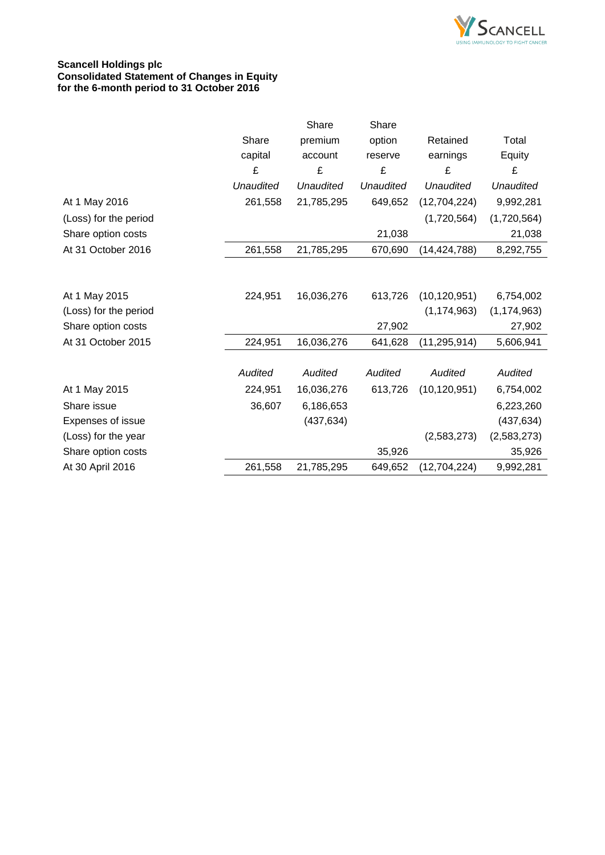

# **Scancell Holdings plc Consolidated Statement of Changes in Equity for the 6-month period to 31 October 2016**

|                       |                  | Share            | Share            |                  |                  |
|-----------------------|------------------|------------------|------------------|------------------|------------------|
|                       | Share            | premium          | option           | Retained         | Total            |
|                       | capital          | account          | reserve          | earnings         | Equity           |
|                       | £                | £                | £                | £                | £                |
|                       | <b>Unaudited</b> | <b>Unaudited</b> | <b>Unaudited</b> | <b>Unaudited</b> | <b>Unaudited</b> |
| At 1 May 2016         | 261,558          | 21,785,295       | 649,652          | (12,704,224)     | 9,992,281        |
| (Loss) for the period |                  |                  |                  | (1,720,564)      | (1,720,564)      |
| Share option costs    |                  |                  | 21,038           |                  | 21,038           |
| At 31 October 2016    | 261,558          | 21,785,295       | 670,690          | (14, 424, 788)   | 8,292,755        |
|                       |                  |                  |                  |                  |                  |
| At 1 May 2015         | 224,951          | 16,036,276       | 613,726          | (10, 120, 951)   | 6,754,002        |
| (Loss) for the period |                  |                  |                  | (1, 174, 963)    | (1, 174, 963)    |
| Share option costs    |                  |                  | 27,902           |                  | 27,902           |
| At 31 October 2015    | 224,951          | 16,036,276       | 641,628          | (11, 295, 914)   | 5,606,941        |
|                       |                  |                  |                  |                  |                  |
|                       | <b>Audited</b>   | Audited          | Audited          | Audited          | Audited          |
| At 1 May 2015         | 224,951          | 16,036,276       | 613,726          | (10, 120, 951)   | 6,754,002        |
| Share issue           | 36,607           | 6,186,653        |                  |                  | 6,223,260        |
| Expenses of issue     |                  | (437, 634)       |                  |                  | (437, 634)       |
| (Loss) for the year   |                  |                  |                  | (2,583,273)      | (2,583,273)      |
| Share option costs    |                  |                  | 35,926           |                  | 35,926           |
| At 30 April 2016      | 261,558          | 21,785,295       | 649,652          | (12, 704, 224)   | 9,992,281        |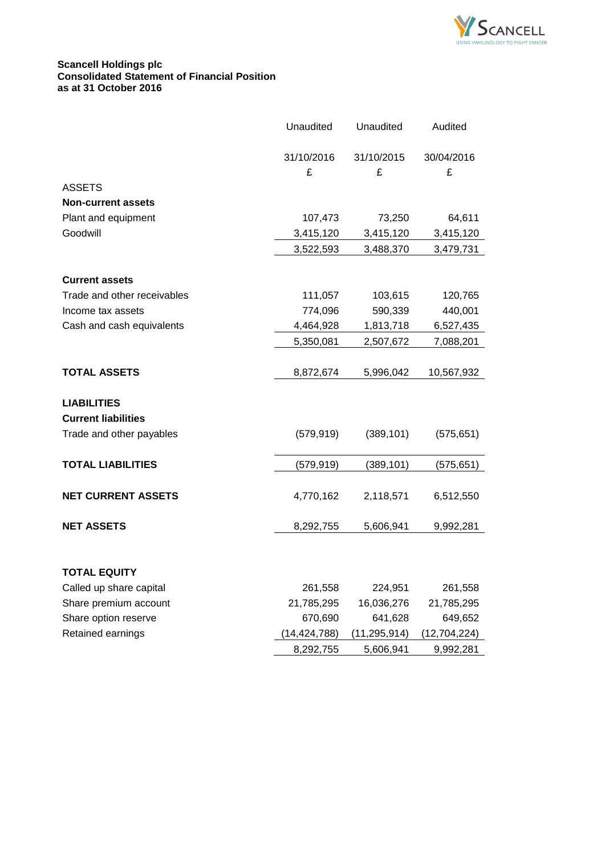

# **Scancell Holdings plc Consolidated Statement of Financial Position as at 31 October 2016**

|                             | Unaudited    | Unaudited    | Audited      |
|-----------------------------|--------------|--------------|--------------|
|                             | 31/10/2016   | 31/10/2015   | 30/04/2016   |
|                             | £            | £            | £            |
| <b>ASSETS</b>               |              |              |              |
| <b>Non-current assets</b>   |              |              |              |
| Plant and equipment         | 107,473      | 73,250       | 64,611       |
| Goodwill                    | 3,415,120    | 3,415,120    | 3,415,120    |
|                             | 3,522,593    | 3,488,370    | 3,479,731    |
|                             |              |              |              |
| <b>Current assets</b>       |              |              |              |
| Trade and other receivables | 111,057      | 103,615      | 120,765      |
| Income tax assets           | 774,096      | 590,339      | 440,001      |
| Cash and cash equivalents   | 4,464,928    | 1,813,718    | 6,527,435    |
|                             | 5,350,081    | 2,507,672    | 7,088,201    |
|                             |              |              |              |
| <b>TOTAL ASSETS</b>         | 8,872,674    | 5,996,042    | 10,567,932   |
| <b>LIABILITIES</b>          |              |              |              |
| <b>Current liabilities</b>  |              |              |              |
| Trade and other payables    | (579, 919)   | (389, 101)   | (575, 651)   |
|                             |              |              |              |
| <b>TOTAL LIABILITIES</b>    | (579, 919)   | (389, 101)   | (575, 651)   |
|                             |              |              |              |
| <b>NET CURRENT ASSETS</b>   | 4,770,162    | 2,118,571    | 6,512,550    |
| <b>NET ASSETS</b>           | 8,292,755    | 5,606,941    | 9,992,281    |
|                             |              |              |              |
| <b>TOTAL EQUITY</b>         |              |              |              |
| Called up share capital     | 261,558      | 224,951      | 261,558      |
| Share premium account       | 21,785,295   | 16,036,276   | 21,785,295   |
| Share option reserve        | 670,690      | 641,628      | 649,652      |
| Retained earnings           | (14,424,788) | (11,295,914) | (12,704,224) |
|                             | 8,292,755    | 5,606,941    | 9,992,281    |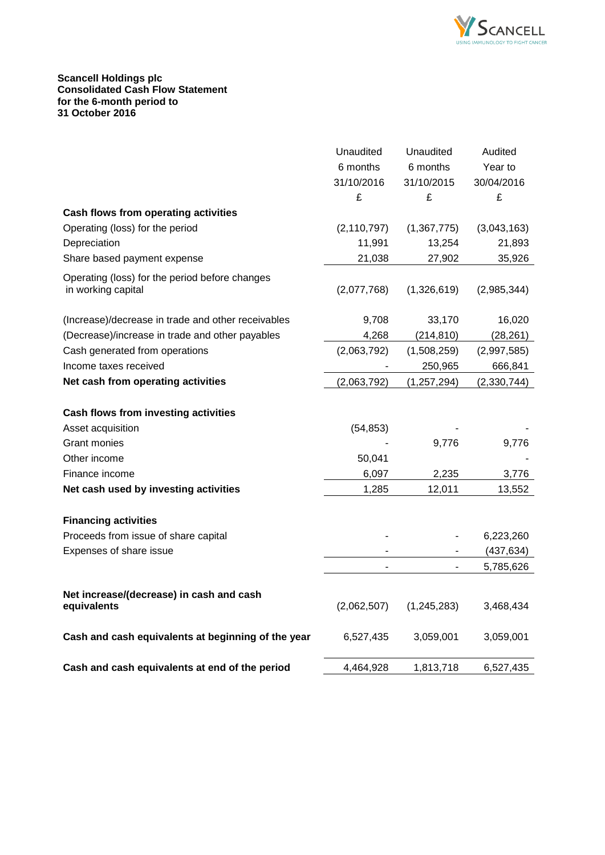

## **Scancell Holdings plc Consolidated Cash Flow Statement for the 6-month period to 31 October 2016**

|                                                         | Unaudited     | Unaudited     | Audited       |
|---------------------------------------------------------|---------------|---------------|---------------|
|                                                         | 6 months      | 6 months      | Year to       |
|                                                         | 31/10/2016    | 31/10/2015    | 30/04/2016    |
|                                                         | £             | £             | £             |
| Cash flows from operating activities                    |               |               |               |
| Operating (loss) for the period                         | (2, 110, 797) | (1,367,775)   | (3,043,163)   |
| Depreciation                                            | 11,991        | 13,254        | 21,893        |
| Share based payment expense                             | 21,038        | 27,902        | 35,926        |
| Operating (loss) for the period before changes          |               |               |               |
| in working capital                                      | (2,077,768)   | (1,326,619)   | (2,985,344)   |
| (Increase)/decrease in trade and other receivables      | 9,708         | 33,170        | 16,020        |
| (Decrease)/increase in trade and other payables         | 4,268         | (214, 810)    | (28, 261)     |
| Cash generated from operations                          | (2,063,792)   | (1,508,259)   | (2,997,585)   |
| Income taxes received                                   |               | 250,965       | 666,841       |
| Net cash from operating activities                      | (2,063,792)   | (1, 257, 294) | (2, 330, 744) |
| <b>Cash flows from investing activities</b>             |               |               |               |
| Asset acquisition                                       | (54, 853)     |               |               |
| Grant monies                                            |               | 9,776         | 9,776         |
| Other income                                            | 50,041        |               |               |
| Finance income                                          | 6,097         | 2,235         | 3,776         |
| Net cash used by investing activities                   | 1,285         | 12,011        | 13,552        |
| <b>Financing activities</b>                             |               |               |               |
| Proceeds from issue of share capital                    |               |               | 6,223,260     |
| Expenses of share issue                                 |               |               | (437, 634)    |
|                                                         |               |               | 5,785,626     |
| Net increase/(decrease) in cash and cash<br>equivalents | (2,062,507)   | (1, 245, 283) | 3,468,434     |
| Cash and cash equivalents at beginning of the year      | 6,527,435     | 3,059,001     | 3,059,001     |
| Cash and cash equivalents at end of the period          | 4,464,928     | 1,813,718     | 6,527,435     |